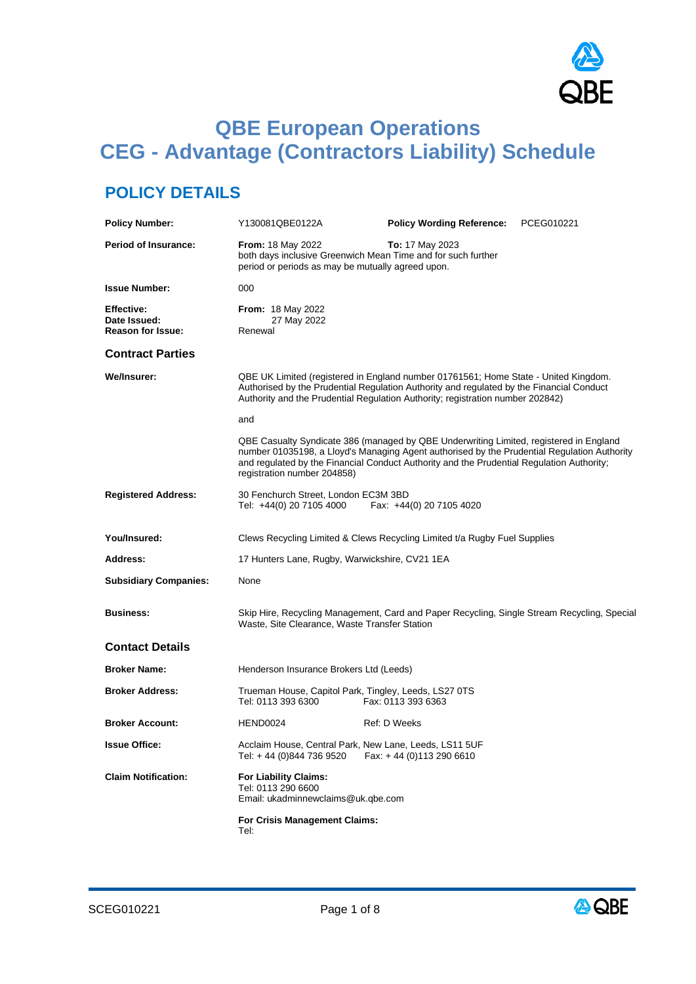

# **QBE European Operations CEG - Advantage (Contractors Liability) Schedule**

## **POLICY DETAILS**

| <b>Policy Number:</b>                                         | Y130081QBE0122A                                                                          | <b>Policy Wording Reference:</b>                                                                                                                                                                                                                                                   | PCEG010221 |
|---------------------------------------------------------------|------------------------------------------------------------------------------------------|------------------------------------------------------------------------------------------------------------------------------------------------------------------------------------------------------------------------------------------------------------------------------------|------------|
| <b>Period of Insurance:</b>                                   | <b>From: 18 May 2022</b><br>period or periods as may be mutually agreed upon.            | <b>To:</b> 17 May 2023<br>both days inclusive Greenwich Mean Time and for such further                                                                                                                                                                                             |            |
| <b>Issue Number:</b>                                          | 000                                                                                      |                                                                                                                                                                                                                                                                                    |            |
| <b>Effective:</b><br>Date Issued:<br><b>Reason for Issue:</b> | <b>From: 18 May 2022</b><br>27 May 2022<br>Renewal                                       |                                                                                                                                                                                                                                                                                    |            |
| <b>Contract Parties</b>                                       |                                                                                          |                                                                                                                                                                                                                                                                                    |            |
| <b>We/Insurer:</b>                                            |                                                                                          | QBE UK Limited (registered in England number 01761561; Home State - United Kingdom.<br>Authorised by the Prudential Regulation Authority and regulated by the Financial Conduct<br>Authority and the Prudential Regulation Authority; registration number 202842)                  |            |
|                                                               | and                                                                                      |                                                                                                                                                                                                                                                                                    |            |
|                                                               | registration number 204858)                                                              | QBE Casualty Syndicate 386 (managed by QBE Underwriting Limited, registered in England<br>number 01035198, a Lloyd's Managing Agent authorised by the Prudential Regulation Authority<br>and regulated by the Financial Conduct Authority and the Prudential Regulation Authority; |            |
| <b>Registered Address:</b>                                    | 30 Fenchurch Street, London EC3M 3BD<br>Tel: +44(0) 20 7105 4000                         | Fax: +44(0) 20 7105 4020                                                                                                                                                                                                                                                           |            |
| You/Insured:                                                  |                                                                                          | Clews Recycling Limited & Clews Recycling Limited t/a Rugby Fuel Supplies                                                                                                                                                                                                          |            |
| <b>Address:</b>                                               | 17 Hunters Lane, Rugby, Warwickshire, CV21 1EA                                           |                                                                                                                                                                                                                                                                                    |            |
| <b>Subsidiary Companies:</b>                                  | None                                                                                     |                                                                                                                                                                                                                                                                                    |            |
| <b>Business:</b>                                              | Waste, Site Clearance, Waste Transfer Station                                            | Skip Hire, Recycling Management, Card and Paper Recycling, Single Stream Recycling, Special                                                                                                                                                                                        |            |
| <b>Contact Details</b>                                        |                                                                                          |                                                                                                                                                                                                                                                                                    |            |
| <b>Broker Name:</b>                                           | Henderson Insurance Brokers Ltd (Leeds)                                                  |                                                                                                                                                                                                                                                                                    |            |
| <b>Broker Address:</b>                                        | Trueman House, Capitol Park, Tingley, Leeds, LS27 0TS<br>Tel: 0113 393 6300              | Fax: 0113 393 6363                                                                                                                                                                                                                                                                 |            |
| <b>Broker Account:</b>                                        | HEND0024                                                                                 | <b>Ref: D Weeks</b>                                                                                                                                                                                                                                                                |            |
| <b>Issue Office:</b>                                          | Acclaim House, Central Park, New Lane, Leeds, LS11 5UF<br>Tel: +44 (0)844 736 9520       | Fax: +44 (0)113 290 6610                                                                                                                                                                                                                                                           |            |
| <b>Claim Notification:</b>                                    | <b>For Liability Claims:</b><br>Tel: 0113 290 6600<br>Email: ukadminnewclaims@uk.gbe.com |                                                                                                                                                                                                                                                                                    |            |
|                                                               | For Crisis Management Claims:<br>Tel:                                                    |                                                                                                                                                                                                                                                                                    |            |

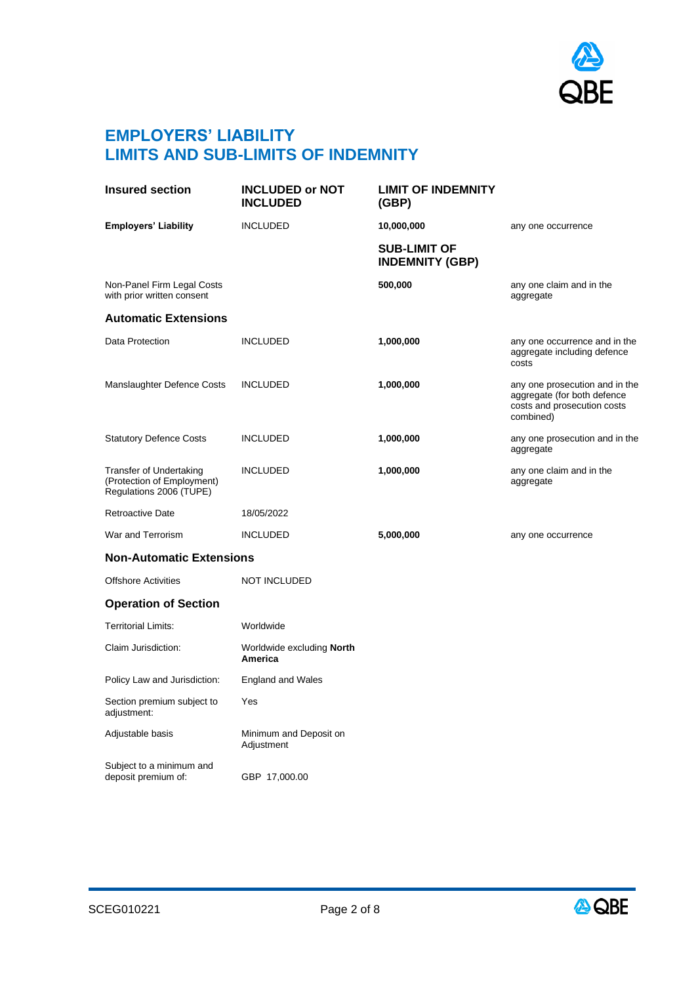

### **EMPLOYERS' LIABILITY LIMITS AND SUB-LIMITS OF INDEMNITY**

| <b>Insured section</b>                                                           | <b>INCLUDED or NOT</b><br><b>INCLUDED</b>   | <b>LIMIT OF INDEMNITY</b><br>(GBP)            |                                                                                                           |
|----------------------------------------------------------------------------------|---------------------------------------------|-----------------------------------------------|-----------------------------------------------------------------------------------------------------------|
| <b>Employers' Liability</b>                                                      | <b>INCLUDED</b>                             | 10,000,000                                    | any one occurrence                                                                                        |
|                                                                                  |                                             | <b>SUB-LIMIT OF</b><br><b>INDEMNITY (GBP)</b> |                                                                                                           |
| Non-Panel Firm Legal Costs<br>with prior written consent                         |                                             | 500,000                                       | any one claim and in the<br>aggregate                                                                     |
| <b>Automatic Extensions</b>                                                      |                                             |                                               |                                                                                                           |
| Data Protection                                                                  | <b>INCLUDED</b>                             | 1,000,000                                     | any one occurrence and in the<br>aggregate including defence<br>costs                                     |
| Manslaughter Defence Costs                                                       | <b>INCLUDED</b>                             | 1,000,000                                     | any one prosecution and in the<br>aggregate (for both defence<br>costs and prosecution costs<br>combined) |
| <b>Statutory Defence Costs</b>                                                   | <b>INCLUDED</b>                             | 1,000,000                                     | any one prosecution and in the<br>aggregate                                                               |
| Transfer of Undertaking<br>(Protection of Employment)<br>Regulations 2006 (TUPE) | <b>INCLUDED</b>                             | 1,000,000                                     | any one claim and in the<br>aggregate                                                                     |
| <b>Retroactive Date</b>                                                          | 18/05/2022                                  |                                               |                                                                                                           |
| War and Terrorism                                                                | <b>INCLUDED</b>                             | 5,000,000                                     | any one occurrence                                                                                        |
| <b>Non-Automatic Extensions</b>                                                  |                                             |                                               |                                                                                                           |
| <b>Offshore Activities</b>                                                       | <b>NOT INCLUDED</b>                         |                                               |                                                                                                           |
| <b>Operation of Section</b>                                                      |                                             |                                               |                                                                                                           |
| Territorial Limits:                                                              | Worldwide                                   |                                               |                                                                                                           |
| Claim Jurisdiction:                                                              | Worldwide excluding <b>North</b><br>America |                                               |                                                                                                           |
| Policy Law and Jurisdiction:                                                     | <b>England and Wales</b>                    |                                               |                                                                                                           |
| Section premium subject to<br>adjustment:                                        | Yes                                         |                                               |                                                                                                           |
| Adjustable basis                                                                 | Minimum and Deposit on<br>Adjustment        |                                               |                                                                                                           |
| Subject to a minimum and<br>deposit premium of:                                  | GBP 17,000.00                               |                                               |                                                                                                           |

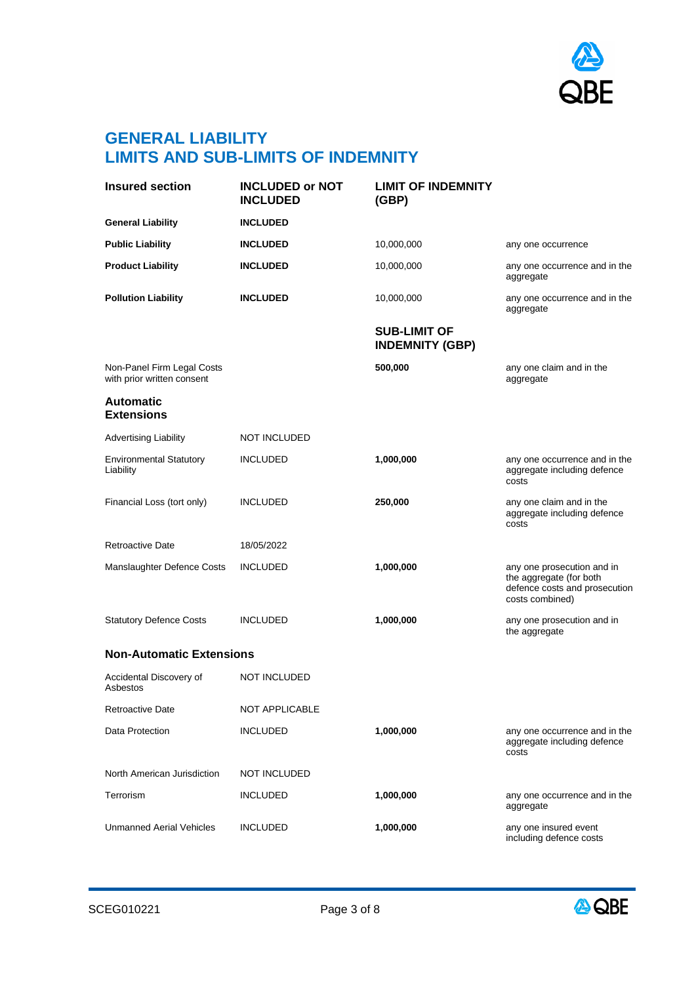

### **GENERAL LIABILITY LIMITS AND SUB-LIMITS OF INDEMNITY**

| <b>Insured section</b>                                   | <b>INCLUDED or NOT</b><br><b>INCLUDED</b> | <b>LIMIT OF INDEMNITY</b><br>(GBP)            |                                                                                                           |
|----------------------------------------------------------|-------------------------------------------|-----------------------------------------------|-----------------------------------------------------------------------------------------------------------|
| <b>General Liability</b>                                 | <b>INCLUDED</b>                           |                                               |                                                                                                           |
| <b>Public Liability</b>                                  | <b>INCLUDED</b>                           | 10,000,000                                    | any one occurrence                                                                                        |
| <b>Product Liability</b>                                 | <b>INCLUDED</b>                           | 10,000,000                                    | any one occurrence and in the<br>aggregate                                                                |
| <b>Pollution Liability</b>                               | <b>INCLUDED</b>                           | 10,000,000                                    | any one occurrence and in the<br>aggregate                                                                |
|                                                          |                                           | <b>SUB-LIMIT OF</b><br><b>INDEMNITY (GBP)</b> |                                                                                                           |
| Non-Panel Firm Legal Costs<br>with prior written consent |                                           | 500,000                                       | any one claim and in the<br>aggregate                                                                     |
| <b>Automatic</b><br><b>Extensions</b>                    |                                           |                                               |                                                                                                           |
| <b>Advertising Liability</b>                             | NOT INCLUDED                              |                                               |                                                                                                           |
| <b>Environmental Statutory</b><br>Liability              | <b>INCLUDED</b>                           | 1,000,000                                     | any one occurrence and in the<br>aggregate including defence<br>costs                                     |
| Financial Loss (tort only)                               | <b>INCLUDED</b>                           | 250,000                                       | any one claim and in the<br>aggregate including defence<br>costs                                          |
| <b>Retroactive Date</b>                                  | 18/05/2022                                |                                               |                                                                                                           |
| Manslaughter Defence Costs                               | <b>INCLUDED</b>                           | 1,000,000                                     | any one prosecution and in<br>the aggregate (for both<br>defence costs and prosecution<br>costs combined) |
| <b>Statutory Defence Costs</b>                           | <b>INCLUDED</b>                           | 1,000,000                                     | any one prosecution and in<br>the aggregate                                                               |
| <b>Non-Automatic Extensions</b>                          |                                           |                                               |                                                                                                           |
| Accidental Discovery of<br>Asbestos                      | <b>NOT INCLUDED</b>                       |                                               |                                                                                                           |
| <b>Retroactive Date</b>                                  | NOT APPLICABLE                            |                                               |                                                                                                           |
| Data Protection                                          | <b>INCLUDED</b>                           | 1,000,000                                     | any one occurrence and in the<br>aggregate including defence<br>costs                                     |
| North American Jurisdiction                              | <b>NOT INCLUDED</b>                       |                                               |                                                                                                           |
| Terrorism                                                | <b>INCLUDED</b>                           | 1,000,000                                     | any one occurrence and in the<br>aggregate                                                                |
| <b>Unmanned Aerial Vehicles</b>                          | <b>INCLUDED</b>                           | 1,000,000                                     | any one insured event<br>including defence costs                                                          |

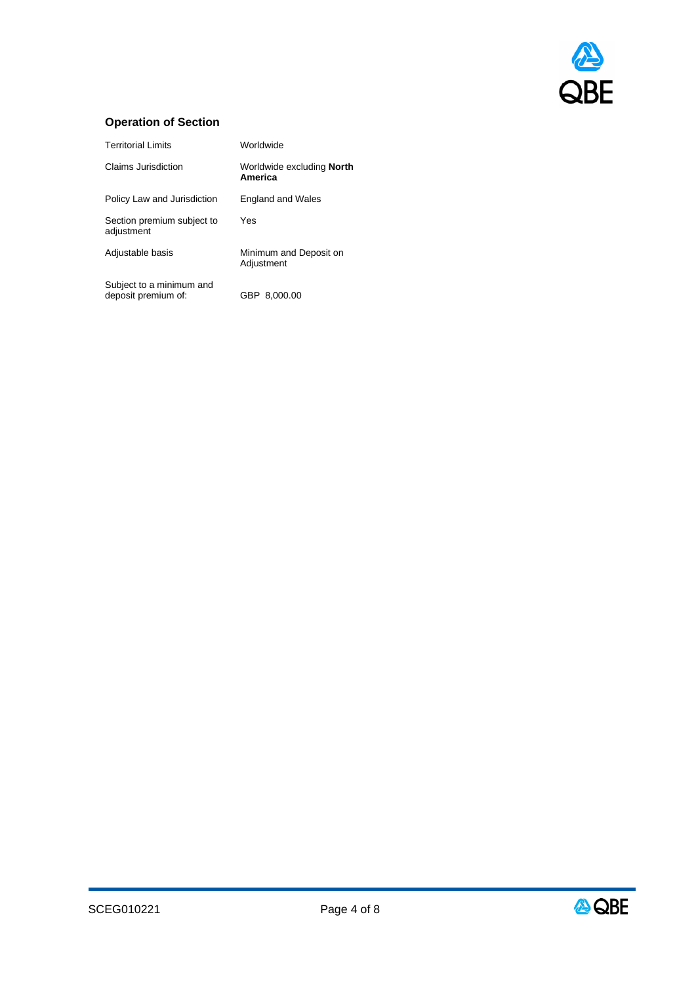

### **Operation of Section**

| <b>Territorial Limits</b>                       | Worldwide                                   |
|-------------------------------------------------|---------------------------------------------|
| Claims Jurisdiction                             | Worldwide excluding <b>North</b><br>America |
| Policy Law and Jurisdiction                     | <b>England and Wales</b>                    |
| Section premium subject to<br>adjustment        | Yes                                         |
| Adjustable basis                                | Minimum and Deposit on<br>Adjustment        |
| Subject to a minimum and<br>deposit premium of: | GBP<br>8.000.00                             |

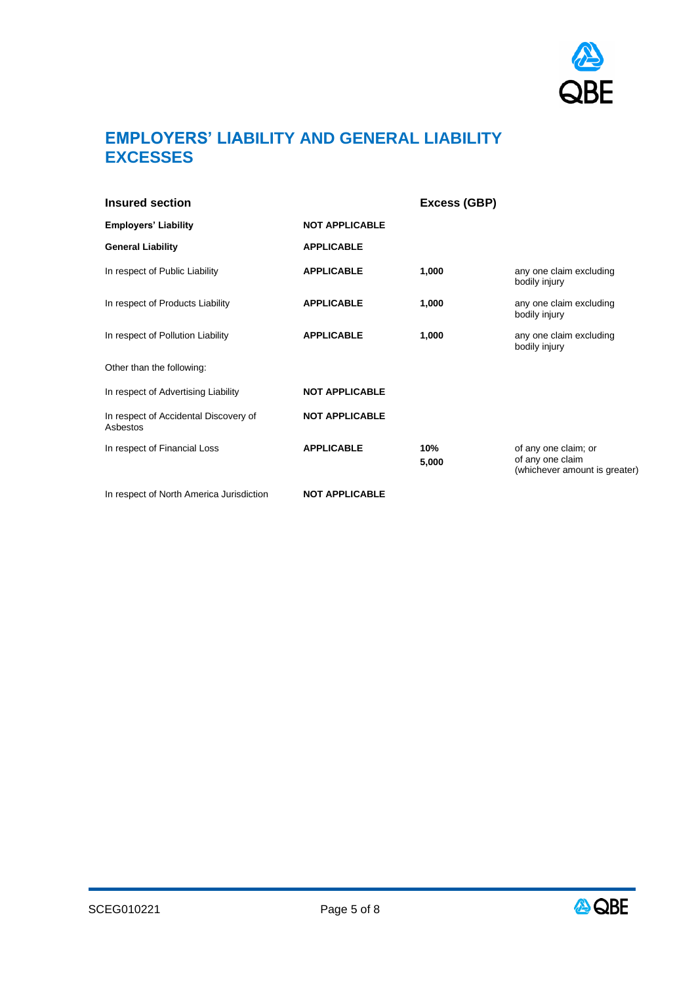

### **EMPLOYERS' LIABILITY AND GENERAL LIABILITY EXCESSES**

| Insured section                                   |                       | Excess (GBP) |                                                                           |
|---------------------------------------------------|-----------------------|--------------|---------------------------------------------------------------------------|
| <b>Employers' Liability</b>                       | <b>NOT APPLICABLE</b> |              |                                                                           |
| <b>General Liability</b>                          | <b>APPLICABLE</b>     |              |                                                                           |
| In respect of Public Liability                    | <b>APPLICABLE</b>     | 1,000        | any one claim excluding<br>bodily injury                                  |
| In respect of Products Liability                  | <b>APPLICABLE</b>     | 1,000        | any one claim excluding<br>bodily injury                                  |
| In respect of Pollution Liability                 | <b>APPLICABLE</b>     | 1,000        | any one claim excluding<br>bodily injury                                  |
| Other than the following:                         |                       |              |                                                                           |
| In respect of Advertising Liability               | <b>NOT APPLICABLE</b> |              |                                                                           |
| In respect of Accidental Discovery of<br>Asbestos | <b>NOT APPLICABLE</b> |              |                                                                           |
| In respect of Financial Loss                      | <b>APPLICABLE</b>     | 10%<br>5,000 | of any one claim; or<br>of any one claim<br>(whichever amount is greater) |
| In respect of North America Jurisdiction          | <b>NOT APPLICABLE</b> |              |                                                                           |



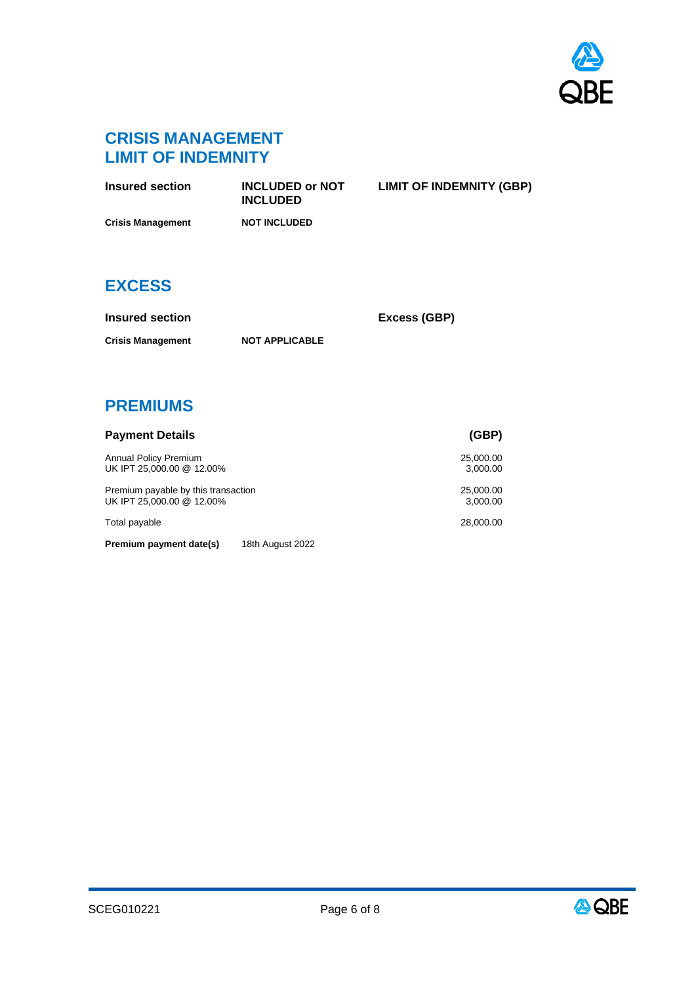

**LIMIT OF INDEMNITY (GBP)**

### **CRISIS MANAGEMENT LIMIT OF INDEMNITY**

| <b>Insured section</b>   | <b>INCLUDED or NOT</b><br><b>INCLUDED</b> | <b>LIMIT OF INDEMNITY</b> |
|--------------------------|-------------------------------------------|---------------------------|
| <b>Crisis Management</b> | <b>NOT INCLUDED</b>                       |                           |

### **EXCESS**

| Insured section          |                       |
|--------------------------|-----------------------|
| <b>Crisis Management</b> | <b>NOT APPLICABLE</b> |

**Insured section Excess (GBP)**

**PREMIUMS**

| <b>Payment Details</b>                                           | (GBP)                 |
|------------------------------------------------------------------|-----------------------|
| <b>Annual Policy Premium</b><br>UK IPT 25,000.00 @ 12.00%        | 25,000.00<br>3,000.00 |
| Premium payable by this transaction<br>UK IPT 25,000.00 @ 12.00% | 25,000.00<br>3,000.00 |
| Total payable                                                    | 28,000.00             |
| Premium payment date(s)<br>18th August 2022                      |                       |

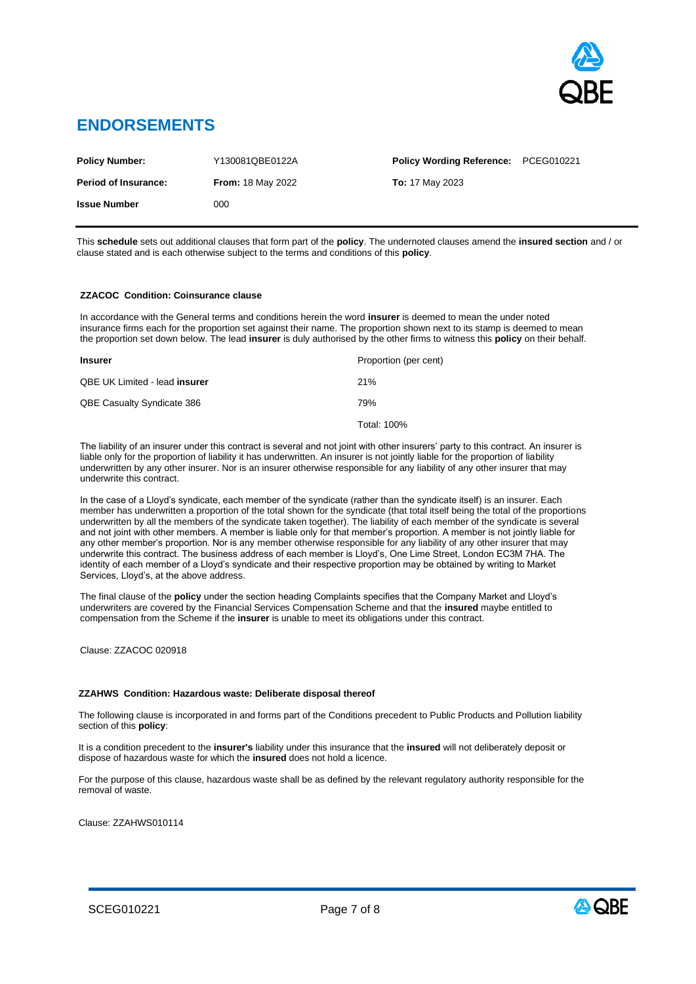

### **ENDORSEMENTS**

| <b>Policy Number:</b>       | Y130081QBE0122A          | <b>Policy Wording Reference: PCEG010221</b> |  |
|-----------------------------|--------------------------|---------------------------------------------|--|
| <b>Period of Insurance:</b> | <b>From: 18 May 2022</b> | <b>To:</b> 17 May 2023                      |  |
| <b>Issue Number</b>         | 000                      |                                             |  |

This **schedule** sets out additional clauses that form part of the **policy**. The undernoted clauses amend the **insured section** and / or clause stated and is each otherwise subject to the terms and conditions of this **policy**.

#### **ZZACOC Condition: Coinsurance clause**

In accordance with the General terms and conditions herein the word **insurer** is deemed to mean the under noted insurance firms each for the proportion set against their name. The proportion shown next to its stamp is deemed to mean the proportion set down below. The lead **insurer** is duly authorised by the other firms to witness this **policy** on their behalf.

| <b>Insurer</b>                    | Proportion (per cent) |
|-----------------------------------|-----------------------|
| QBE UK Limited - lead insurer     | 21%                   |
| <b>QBE Casualty Syndicate 386</b> | 79%                   |
|                                   | Total: 100%           |

The liability of an insurer under this contract is several and not joint with other insurers' party to this contract. An insurer is liable only for the proportion of liability it has underwritten. An insurer is not jointly liable for the proportion of liability underwritten by any other insurer. Nor is an insurer otherwise responsible for any liability of any other insurer that may underwrite this contract.

In the case of a Lloyd's syndicate, each member of the syndicate (rather than the syndicate itself) is an insurer. Each member has underwritten a proportion of the total shown for the syndicate (that total itself being the total of the proportions underwritten by all the members of the syndicate taken together). The liability of each member of the syndicate is several and not joint with other members. A member is liable only for that member's proportion. A member is not jointly liable for any other member's proportion. Nor is any member otherwise responsible for any liability of any other insurer that may underwrite this contract. The business address of each member is Lloyd's, One Lime Street, London EC3M 7HA. The identity of each member of a Lloyd's syndicate and their respective proportion may be obtained by writing to Market Services, Lloyd's, at the above address.

The final clause of the **policy** under the section heading Complaints specifies that the Company Market and Lloyd's underwriters are covered by the Financial Services Compensation Scheme and that the **insured** maybe entitled to compensation from the Scheme if the **insurer** is unable to meet its obligations under this contract.

Clause: ZZACOC 020918

#### **ZZAHWS Condition: Hazardous waste: Deliberate disposal thereof**

The following clause is incorporated in and forms part of the Conditions precedent to Public Products and Pollution liability section of this **policy**:

It is a condition precedent to the **insurer's** liability under this insurance that the **insured** will not deliberately deposit or dispose of hazardous waste for which the **insured** does not hold a licence.

For the purpose of this clause, hazardous waste shall be as defined by the relevant regulatory authority responsible for the removal of waste.

Clause: ZZAHWS010114